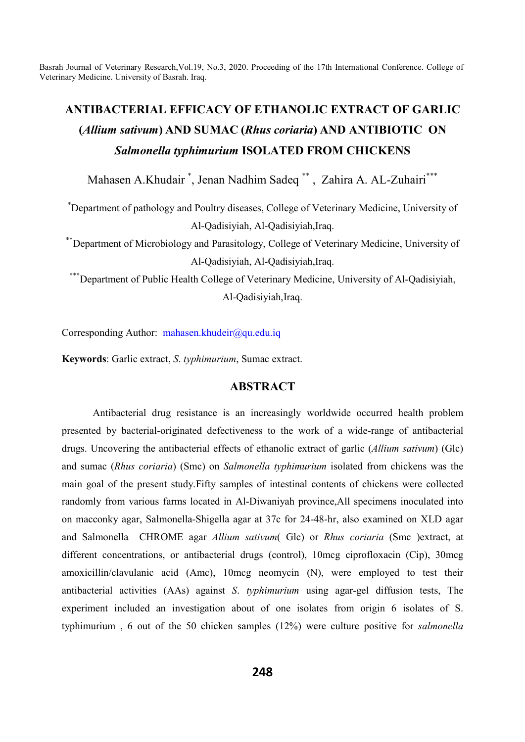# **ANTIBACTERIAL EFFICACY OF ETHANOLIC EXTRACT OF GARLIC (***Allium sativum***) AND SUMAC (***Rhus coriaria***) AND ANTIBIOTIC ON**  *Salmonella typhimurium* **ISOLATED FROM CHICKENS**

Mahasen A.Khudair \* , Jenan Nadhim Sadeq \*\* , Zahira A. AL-Zuhairi\*\*\*

\* Department of pathology and Poultry diseases, College of Veterinary Medicine, University of Al-Qadisiyiah, Al-Qadisiyiah,Iraq.

\*\*Department of Microbiology and Parasitology, College of Veterinary Medicine, University of Al-Qadisiyiah, Al-Qadisiyiah,Iraq.

\*\*\*Department of Public Health College of Veterinary Medicine, University of Al-Qadisiyiah, Al-Qadisiyiah,Iraq.

Corresponding Author: mahasen.khudeir@qu.edu.iq

**Keywords**: Garlic extract, *S*. *typhimurium*, Sumac extract.

## **ABSTRACT**

Antibacterial drug resistance is an increasingly worldwide occurred health problem presented by bacterial-originated defectiveness to the work of a wide-range of antibacterial drugs. Uncovering the antibacterial effects of ethanolic extract of garlic (*Allium sativum*) (Glc) and sumac (*Rhus coriaria*) (Smc) on *Salmonella typhimurium* isolated from chickens was the main goal of the present study.Fifty samples of intestinal contents of chickens were collected randomly from various farms located in Al-Diwaniyah province,All specimens inoculated into on macconky agar, Salmonella-Shigella agar at 37c for 24-48-hr, also examined on XLD agar and Salmonella CHROME agar *Allium sativum*( Glc) or *Rhus coriaria* (Smc )extract, at different concentrations, or antibacterial drugs (control), 10mcg ciprofloxacin (Cip), 30mcg amoxicillin/clavulanic acid (Amc), 10mcg neomycin (N), were employed to test their antibacterial activities (AAs) against *S*. *typhimurium* using agar-gel diffusion tests, The experiment included an investigation about of one isolates from origin 6 isolates of S. typhimurium , 6 out of the 50 chicken samples (12%) were culture positive for *salmonella*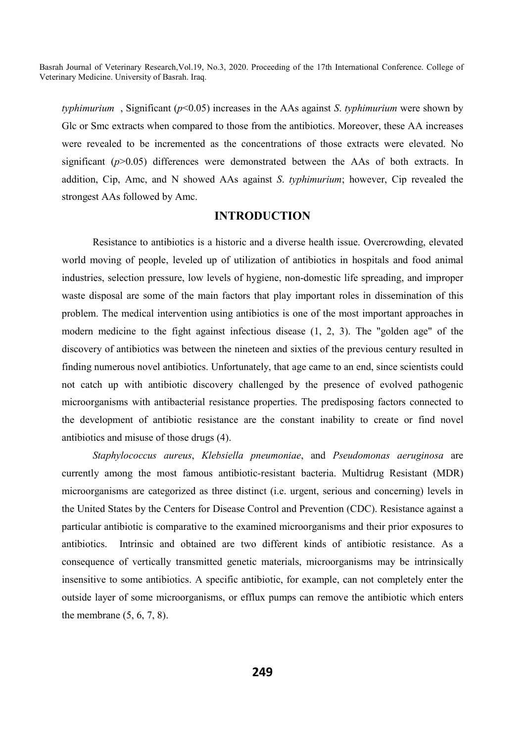*typhimurium* , Significant (*p*˂0.05) increases in the AAs against *S*. *typhimurium* were shown by Glc or Smc extracts when compared to those from the antibiotics. Moreover, these AA increases were revealed to be incremented as the concentrations of those extracts were elevated. No significant  $(p>0.05)$  differences were demonstrated between the AAs of both extracts. In addition, Cip, Amc, and N showed AAs against *S*. *typhimurium*; however, Cip revealed the strongest AAs followed by Amc.

### **INTRODUCTION**

Resistance to antibiotics is a historic and a diverse health issue. Overcrowding, elevated world moving of people, leveled up of utilization of antibiotics in hospitals and food animal industries, selection pressure, low levels of hygiene, non-domestic life spreading, and improper waste disposal are some of the main factors that play important roles in dissemination of this problem. The medical intervention using antibiotics is one of the most important approaches in modern medicine to the fight against infectious disease (1, 2, 3). The "golden age" of the discovery of antibiotics was between the nineteen and sixties of the previous century resulted in finding numerous novel antibiotics. Unfortunately, that age came to an end, since scientists could not catch up with antibiotic discovery challenged by the presence of evolved pathogenic microorganisms with antibacterial resistance properties. The predisposing factors connected to the development of antibiotic resistance are the constant inability to create or find novel antibiotics and misuse of those drugs (4).

*Staphylococcus aureus*, *Klebsiella pneumoniae*, and *Pseudomonas aeruginosa* are currently among the most famous antibiotic-resistant bacteria. Multidrug Resistant (MDR) microorganisms are categorized as three distinct (i.e. urgent, serious and concerning) levels in the United States by the Centers for Disease Control and Prevention (CDC). Resistance against a particular antibiotic is comparative to the examined microorganisms and their prior exposures to antibiotics. Intrinsic and obtained are two different kinds of antibiotic resistance. As a consequence of vertically transmitted genetic materials, microorganisms may be intrinsically insensitive to some antibiotics. A specific antibiotic, for example, can not completely enter the outside layer of some microorganisms, or efflux pumps can remove the antibiotic which enters the membrane (5, 6, 7, 8).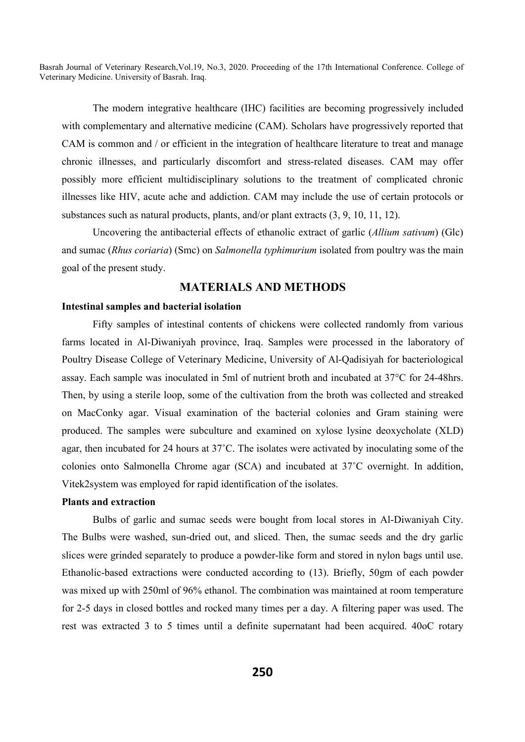The modern integrative healthcare (IHC) facilities are becoming progressively included with complementary and alternative medicine (CAM). Scholars have progressively reported that CAM is common and / or efficient in the integration of healthcare literature to treat and manage chronic illnesses, and particularly discomfort and stress-related diseases. CAM may offer possibly more efficient multidisciplinary solutions to the treatment of complicated chronic illnesses like HIV, acute ache and addiction. CAM may include the use of certain protocols or substances such as natural products, plants, and/or plant extracts (3, 9, 10, 11, 12).

Uncovering the antibacterial effects of ethanolic extract of garlic (*Allium sativum*) (Glc) and sumac (*Rhus coriaria*) (Smc) on *Salmonella typhimurium* isolated from poultry was the main goal of the present study.

# **MATERIALS AND METHODS**

#### **Intestinal samples and bacterial isolation**

Fifty samples of intestinal contents of chickens were collected randomly from various farms located in Al-Diwaniyah province, Iraq. Samples were processed in the laboratory of Poultry Disease College of Veterinary Medicine, University of Al-Qadisiyah for bacteriological assay. Each sample was inoculated in 5ml of nutrient broth and incubated at 37°C for 24-48hrs. Then, by using a sterile loop, some of the cultivation from the broth was collected and streaked on MacConky agar. Visual examination of the bacterial colonies and Gram staining were produced. The samples were subculture and examined on xylose lysine deoxycholate (XLD) agar, then incubated for 24 hours at 37˚C. The isolates were activated by inoculating some of the colonies onto Salmonella Chrome agar (SCA) and incubated at 37˚C overnight. In addition, Vitek2system was employed for rapid identification of the isolates.

#### **Plants and extraction**

Bulbs of garlic and sumac seeds were bought from local stores in Al-Diwaniyah City. The Bulbs were washed, sun-dried out, and sliced. Then, the sumac seeds and the dry garlic slices were grinded separately to produce a powder-like form and stored in nylon bags until use. Ethanolic-based extractions were conducted according to (13). Briefly, 50gm of each powder was mixed up with 250ml of 96% ethanol. The combination was maintained at room temperature for 2-5 days in closed bottles and rocked many times per a day. A filtering paper was used. The rest was extracted 3 to 5 times until a definite supernatant had been acquired. 40oC rotary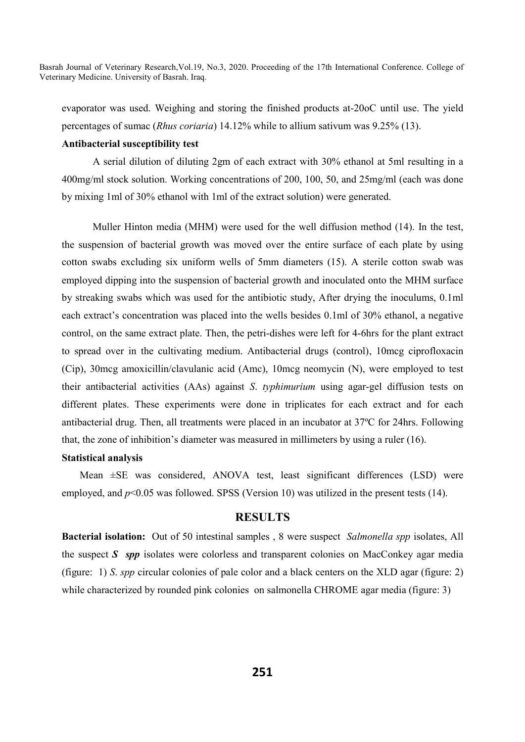evaporator was used. Weighing and storing the finished products at-20oC until use. The yield percentages of sumac (*Rhus coriaria*) 14.12% while to allium sativum was 9.25% (13).

#### **Antibacterial susceptibility test**

A serial dilution of diluting 2gm of each extract with 30% ethanol at 5ml resulting in a 400mg/ml stock solution. Working concentrations of 200, 100, 50, and 25mg/ml (each was done by mixing 1ml of 30% ethanol with 1ml of the extract solution) were generated.

Muller Hinton media (MHM) were used for the well diffusion method (14). In the test, the suspension of bacterial growth was moved over the entire surface of each plate by using cotton swabs excluding six uniform wells of 5mm diameters (15). A sterile cotton swab was employed dipping into the suspension of bacterial growth and inoculated onto the MHM surface by streaking swabs which was used for the antibiotic study, After drying the inoculums, 0.1ml each extract's concentration was placed into the wells besides 0.1ml of 30% ethanol, a negative control, on the same extract plate. Then, the petri-dishes were left for 4-6hrs for the plant extract to spread over in the cultivating medium. Antibacterial drugs (control), 10mcg ciprofloxacin (Cip), 30mcg amoxicillin/clavulanic acid (Amc), 10mcg neomycin (N), were employed to test their antibacterial activities (AAs) against *S*. *typhimurium* using agar-gel diffusion tests on different plates. These experiments were done in triplicates for each extract and for each antibacterial drug. Then, all treatments were placed in an incubator at 37ºC for 24hrs. Following that, the zone of inhibition's diameter was measured in millimeters by using a ruler (16).

#### **Statistical analysis**

 Mean ±SE was considered, ANOVA test, least significant differences (LSD) were employed, and  $p<0.05$  was followed. SPSS (Version 10) was utilized in the present tests (14).

#### **RESULTS**

**Bacterial isolation:** Out of 50 intestinal samples , 8 were suspect *Salmonella spp* isolates, All the suspect *S spp* isolates were colorless and transparent colonies on MacConkey agar media (figure: 1) *S*. *spp* circular colonies of pale color and a black centers on the XLD agar (figure: 2) while characterized by rounded pink colonies on salmonella CHROME agar media (figure: 3)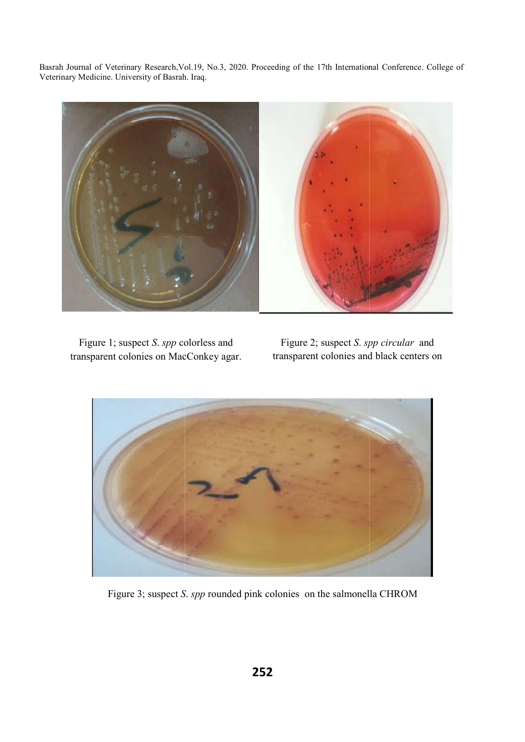

 Figure 1; suspect *S*. *spp* colorless and transparent colonies on MacConkey agar.

Figure 2; suspect *S*. *spp circular*  transparent colonies and black centers on



Figure 3; suspect *S* . *spp* rounded pink colonies on the salmonella CHROM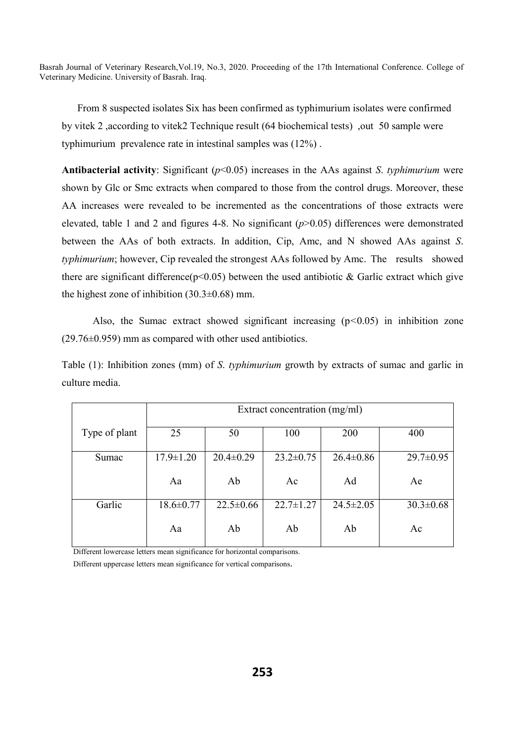From 8 suspected isolates Six has been confirmed as typhimurium isolates were confirmed by vitek 2 ,according to vitek2 Technique result (64 biochemical tests) ,out 50 sample were typhimurium prevalence rate in intestinal samples was (12%) .

**Antibacterial activity**: Significant (*p*˂0.05) increases in the AAs against *S*. *typhimurium* were shown by Glc or Smc extracts when compared to those from the control drugs. Moreover, these AA increases were revealed to be incremented as the concentrations of those extracts were elevated, table 1 and 2 and figures 4-8. No significant (*p*>0.05) differences were demonstrated between the AAs of both extracts. In addition, Cip, Amc, and N showed AAs against *S*. *typhimurium*; however, Cip revealed the strongest AAs followed by Amc. The results showed there are significant difference( $p<0.05$ ) between the used antibiotic & Garlic extract which give the highest zone of inhibition  $(30.3\pm0.68)$  mm.

Also, the Sumac extract showed significant increasing (p*˂*0.05) in inhibition zone (29.76±0.959) mm as compared with other used antibiotics.

Table (1): Inhibition zones (mm) of *S*. *typhimurium* growth by extracts of sumac and garlic in culture media.

|               | Extract concentration (mg/ml) |                 |                 |                 |                 |
|---------------|-------------------------------|-----------------|-----------------|-----------------|-----------------|
| Type of plant | 25                            | 50              | 100             | 200             | 400             |
| Sumac         | $17.9 \pm 1.20$               | $20.4 \pm 0.29$ | $23.2 \pm 0.75$ | $26.4 \pm 0.86$ | $29.7 \pm 0.95$ |
|               | Aa                            | Ab              | Ac              | Ad              | Ae              |
| Garlic        | $18.6 \pm 0.77$               | $22.5 \pm 0.66$ | $22.7 \pm 1.27$ | $24.5 \pm 2.05$ | $30.3 \pm 0.68$ |
|               | Aa                            | Ab              | Ab              | Ab              | Ac              |

 Different lowercase letters mean significance for horizontal comparisons. Different uppercase letters mean significance for vertical comparisons.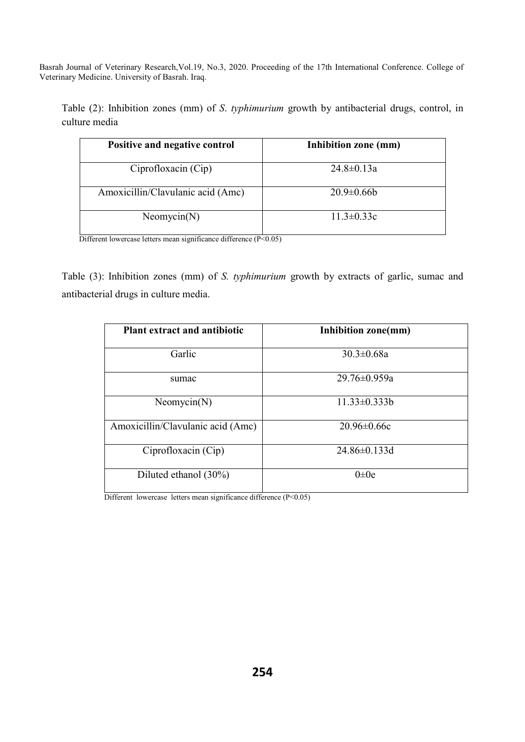Table (2): Inhibition zones (mm) of *S*. *typhimurium* growth by antibacterial drugs, control, in culture media

| Positive and negative control     | Inhibition zone (mm) |
|-----------------------------------|----------------------|
| Ciprofloxacin (Cip)               | $24.8 \pm 0.13a$     |
| Amoxicillin/Clavulanic acid (Amc) | $20.9 \pm 0.66$      |
| Neomycin(N)                       | $11.3 \pm 0.33c$     |

Different lowercase letters mean significance difference (P<0.05)

Table (3): Inhibition zones (mm) of *S. typhimurium* growth by extracts of garlic, sumac and antibacterial drugs in culture media.

| <b>Plant extract and antibiotic</b> | Inhibition zone(mm) |  |  |
|-------------------------------------|---------------------|--|--|
| Garlic                              | $30.3 \pm 0.68a$    |  |  |
| sumac                               | $29.76 \pm 0.959a$  |  |  |
| Neomycin(N)                         | $11.33 \pm 0.333 b$ |  |  |
| Amoxicillin/Clavulanic acid (Amc)   | $20.96 \pm 0.66c$   |  |  |
| Ciprofloxacin (Cip)                 | $24.86 \pm 0.133$ d |  |  |
| Diluted ethanol $(30\%)$            | $0\pm 0e$           |  |  |

Different lowercase letters mean significance difference (P<0.05)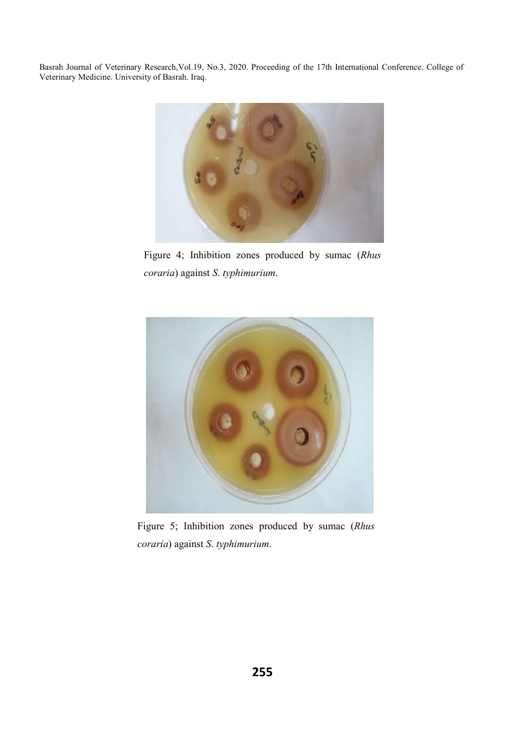

Figure 4; Inhibition zones produced by sumac (*Rhus coraria*) against *S*. *typhimurium*.



Figure 5; Inhibition zones produced by sumac (*Rhus coraria*) against *S*. *typhimurium*.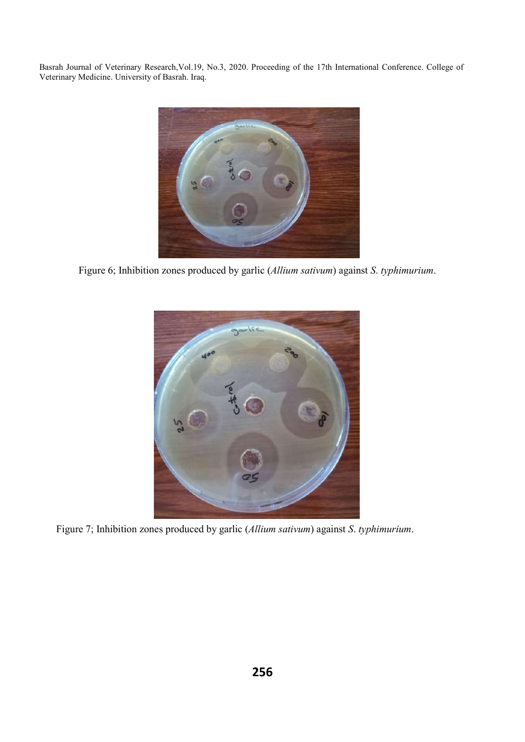

Figure 6; Inhibition zones produced by garlic (*Allium sativum*) against *S*. *typhimurium*.



Figure 7; Inhibition zones produced by garlic (*Allium sativum*) against *S*. *typhimurium*.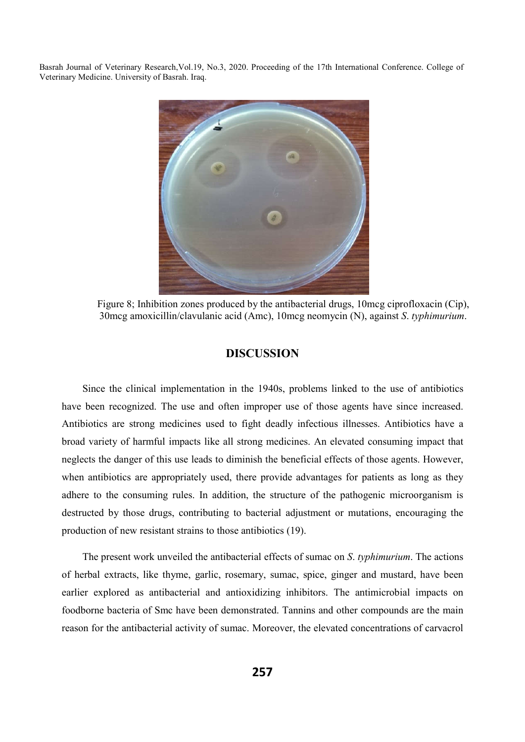

Figure 8; Inhibition zones produced by the antibacterial drugs, 10mcg ciprofloxacin (Cip), 30mcg amoxicillin/clavulanic acid (Amc), 10mcg neomycin (N), against *S*. *typhimurium*.

# **DISCUSSION**

 Since the clinical implementation in the 1940s, problems linked to the use of antibiotics have been recognized. The use and often improper use of those agents have since increased. Antibiotics are strong medicines used to fight deadly infectious illnesses. Antibiotics have a broad variety of harmful impacts like all strong medicines. An elevated consuming impact that neglects the danger of this use leads to diminish the beneficial effects of those agents. However, when antibiotics are appropriately used, there provide advantages for patients as long as they adhere to the consuming rules. In addition, the structure of the pathogenic microorganism is destructed by those drugs, contributing to bacterial adjustment or mutations, encouraging the production of new resistant strains to those antibiotics (19).

 The present work unveiled the antibacterial effects of sumac on *S*. *typhimurium*. The actions of herbal extracts, like thyme, garlic, rosemary, sumac, spice, ginger and mustard, have been earlier explored as antibacterial and antioxidizing inhibitors. The antimicrobial impacts on foodborne bacteria of Smc have been demonstrated. Tannins and other compounds are the main reason for the antibacterial activity of sumac. Moreover, the elevated concentrations of carvacrol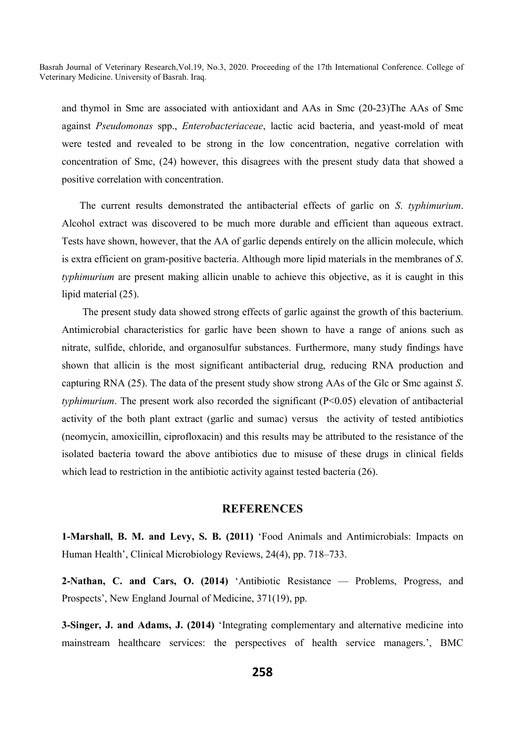and thymol in Smc are associated with antioxidant and AAs in Smc (20-23)The AAs of Smc against *Pseudomonas* spp., *Enterobacteriaceae*, lactic acid bacteria, and yeast-mold of meat were tested and revealed to be strong in the low concentration, negative correlation with concentration of Smc, (24) however, this disagrees with the present study data that showed a positive correlation with concentration.

 The current results demonstrated the antibacterial effects of garlic on *S*. *typhimurium*. Alcohol extract was discovered to be much more durable and efficient than aqueous extract. Tests have shown, however, that the AA of garlic depends entirely on the allicin molecule, which is extra efficient on gram-positive bacteria. Although more lipid materials in the membranes of *S*. *typhimurium* are present making allicin unable to achieve this objective, as it is caught in this lipid material (25).

 The present study data showed strong effects of garlic against the growth of this bacterium. Antimicrobial characteristics for garlic have been shown to have a range of anions such as nitrate, sulfide, chloride, and organosulfur substances. Furthermore, many study findings have shown that allicin is the most significant antibacterial drug, reducing RNA production and capturing RNA (25). The data of the present study show strong AAs of the Glc or Smc against *S*. *typhimurium*. The present work also recorded the significant (P<0.05) elevation of antibacterial activity of the both plant extract (garlic and sumac) versus the activity of tested antibiotics (neomycin, amoxicillin, ciprofloxacin) and this results may be attributed to the resistance of the isolated bacteria toward the above antibiotics due to misuse of these drugs in clinical fields which lead to restriction in the antibiotic activity against tested bacteria (26).

# **REFERENCES**

**1-Marshall, B. M. and Levy, S. B. (2011)** 'Food Animals and Antimicrobials: Impacts on Human Health', Clinical Microbiology Reviews, 24(4), pp. 718–733.

**2-Nathan, C. and Cars, O. (2014)** 'Antibiotic Resistance — Problems, Progress, and Prospects', New England Journal of Medicine, 371(19), pp.

**3-Singer, J. and Adams, J. (2014)** 'Integrating complementary and alternative medicine into mainstream healthcare services: the perspectives of health service managers.', BMC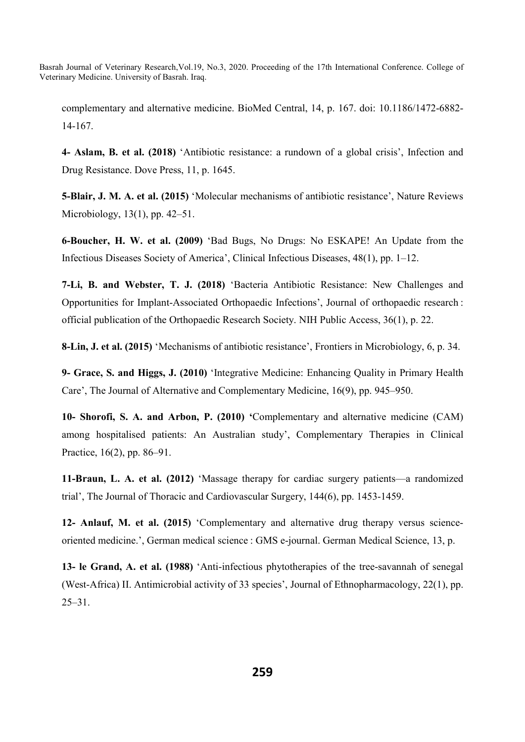complementary and alternative medicine. BioMed Central, 14, p. 167. doi: 10.1186/1472-6882- 14-167.

**4- Aslam, B. et al. (2018)** 'Antibiotic resistance: a rundown of a global crisis', Infection and Drug Resistance. Dove Press, 11, p. 1645.

**5-Blair, J. M. A. et al. (2015)** 'Molecular mechanisms of antibiotic resistance', Nature Reviews Microbiology, 13(1), pp. 42–51.

**6-Boucher, H. W. et al. (2009)** 'Bad Bugs, No Drugs: No ESKAPE! An Update from the Infectious Diseases Society of America', Clinical Infectious Diseases, 48(1), pp. 1–12.

**7-Li, B. and Webster, T. J. (2018)** 'Bacteria Antibiotic Resistance: New Challenges and Opportunities for Implant-Associated Orthopaedic Infections', Journal of orthopaedic research : official publication of the Orthopaedic Research Society. NIH Public Access, 36(1), p. 22.

**8-Lin, J. et al. (2015)** 'Mechanisms of antibiotic resistance', Frontiers in Microbiology, 6, p. 34.

**9- Grace, S. and Higgs, J. (2010)** 'Integrative Medicine: Enhancing Quality in Primary Health Care', The Journal of Alternative and Complementary Medicine, 16(9), pp. 945–950.

**10- Shorofi, S. A. and Arbon, P. (2010) '**Complementary and alternative medicine (CAM) among hospitalised patients: An Australian study', Complementary Therapies in Clinical Practice, 16(2), pp. 86–91.

**11-Braun, L. A. et al. (2012)** 'Massage therapy for cardiac surgery patients—a randomized trial', The Journal of Thoracic and Cardiovascular Surgery, 144(6), pp. 1453-1459.

**12- Anlauf, M. et al. (2015)** 'Complementary and alternative drug therapy versus scienceoriented medicine.', German medical science : GMS e-journal. German Medical Science, 13, p.

**13- le Grand, A. et al. (1988)** 'Anti-infectious phytotherapies of the tree-savannah of senegal (West-Africa) II. Antimicrobial activity of 33 species', Journal of Ethnopharmacology, 22(1), pp. 25–31.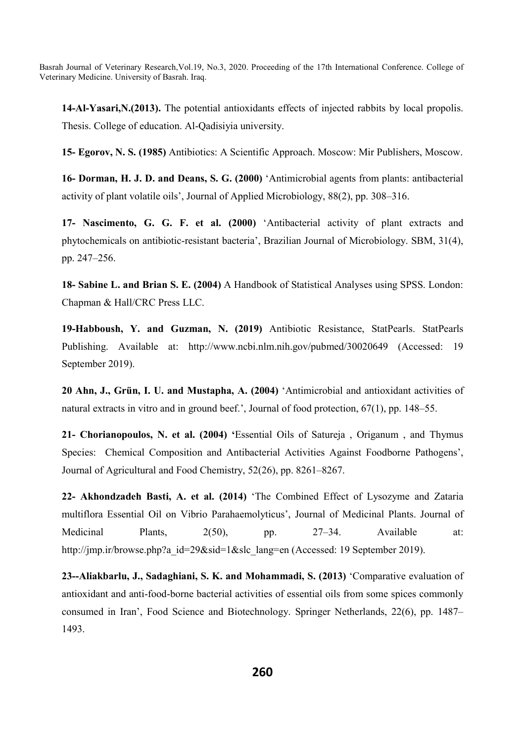**14-Al-Yasari,N.(2013).** The potential antioxidants effects of injected rabbits by local propolis. Thesis. College of education. Al-Qadisiyia university.

**15- Egorov, N. S. (1985)** Antibiotics: A Scientific Approach. Moscow: Mir Publishers, Moscow.

**16- Dorman, H. J. D. and Deans, S. G. (2000)** 'Antimicrobial agents from plants: antibacterial activity of plant volatile oils', Journal of Applied Microbiology, 88(2), pp. 308–316.

**17- Nascimento, G. G. F. et al. (2000)** 'Antibacterial activity of plant extracts and phytochemicals on antibiotic-resistant bacteria', Brazilian Journal of Microbiology. SBM, 31(4), pp. 247–256.

**18- Sabine L. and Brian S. E. (2004)** A Handbook of Statistical Analyses using SPSS. London: Chapman & Hall/CRC Press LLC.

**19-Habboush, Y. and Guzman, N. (2019)** Antibiotic Resistance, StatPearls. StatPearls Publishing. Available at: http://www.ncbi.nlm.nih.gov/pubmed/30020649 (Accessed: 19 September 2019).

**20 Ahn, J., Grün, I. U. and Mustapha, A. (2004)** 'Antimicrobial and antioxidant activities of natural extracts in vitro and in ground beef.', Journal of food protection, 67(1), pp. 148–55.

**21- Chorianopoulos, N. et al. (2004) '**Essential Oils of Satureja , Origanum , and Thymus Species: Chemical Composition and Antibacterial Activities Against Foodborne Pathogens', Journal of Agricultural and Food Chemistry, 52(26), pp. 8261–8267.

**22- Akhondzadeh Basti, A. et al. (2014)** 'The Combined Effect of Lysozyme and Zataria multiflora Essential Oil on Vibrio Parahaemolyticus', Journal of Medicinal Plants. Journal of Medicinal Plants,  $2(50)$ , pp.  $27-34$ . Available at: http://jmp.ir/browse.php?a\_id=29&sid=1&slc\_lang=en (Accessed: 19 September 2019).

**23--Aliakbarlu, J., Sadaghiani, S. K. and Mohammadi, S. (2013)** 'Comparative evaluation of antioxidant and anti-food-borne bacterial activities of essential oils from some spices commonly consumed in Iran', Food Science and Biotechnology. Springer Netherlands, 22(6), pp. 1487– 1493.